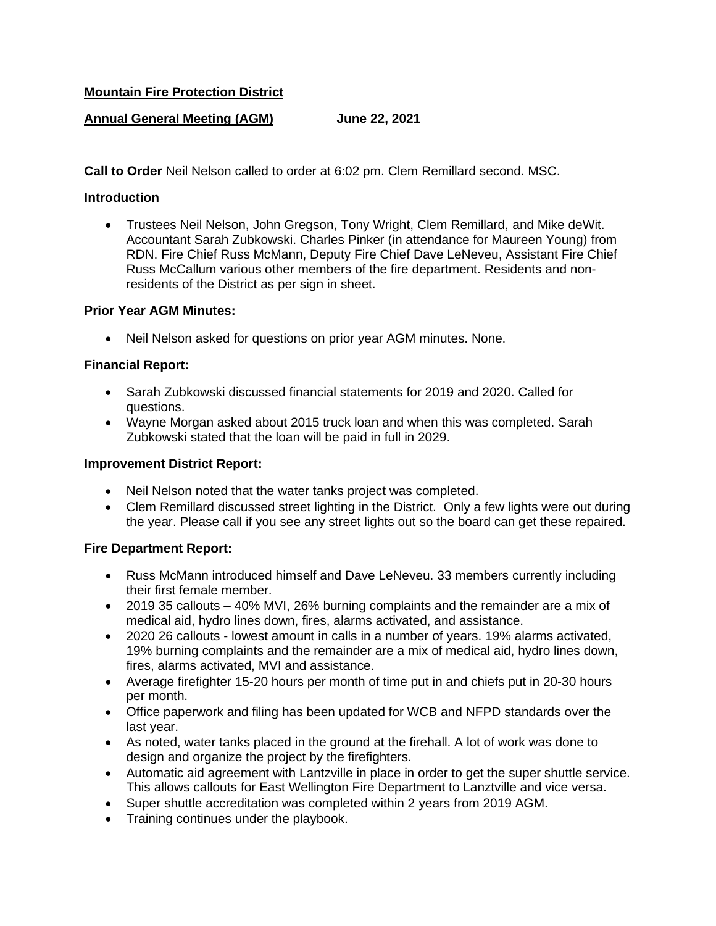## **Mountain Fire Protection District**

# **Annual General Meeting (AGM) June 22, 2021**

**Call to Order** Neil Nelson called to order at 6:02 pm. Clem Remillard second. MSC.

### **Introduction**

• Trustees Neil Nelson, John Gregson, Tony Wright, Clem Remillard, and Mike deWit. Accountant Sarah Zubkowski. Charles Pinker (in attendance for Maureen Young) from RDN. Fire Chief Russ McMann, Deputy Fire Chief Dave LeNeveu, Assistant Fire Chief Russ McCallum various other members of the fire department. Residents and nonresidents of the District as per sign in sheet.

#### **Prior Year AGM Minutes:**

• Neil Nelson asked for questions on prior year AGM minutes. None.

### **Financial Report:**

- Sarah Zubkowski discussed financial statements for 2019 and 2020. Called for questions.
- Wayne Morgan asked about 2015 truck loan and when this was completed. Sarah Zubkowski stated that the loan will be paid in full in 2029.

#### **Improvement District Report:**

- Neil Nelson noted that the water tanks project was completed.
- Clem Remillard discussed street lighting in the District. Only a few lights were out during the year. Please call if you see any street lights out so the board can get these repaired.

### **Fire Department Report:**

- Russ McMann introduced himself and Dave LeNeveu. 33 members currently including their first female member.
- 2019 35 callouts 40% MVI, 26% burning complaints and the remainder are a mix of medical aid, hydro lines down, fires, alarms activated, and assistance.
- 2020 26 callouts lowest amount in calls in a number of years. 19% alarms activated, 19% burning complaints and the remainder are a mix of medical aid, hydro lines down, fires, alarms activated, MVI and assistance.
- Average firefighter 15-20 hours per month of time put in and chiefs put in 20-30 hours per month.
- Office paperwork and filing has been updated for WCB and NFPD standards over the last year.
- As noted, water tanks placed in the ground at the firehall. A lot of work was done to design and organize the project by the firefighters.
- Automatic aid agreement with Lantzville in place in order to get the super shuttle service. This allows callouts for East Wellington Fire Department to Lanztville and vice versa.
- Super shuttle accreditation was completed within 2 years from 2019 AGM.
- Training continues under the playbook.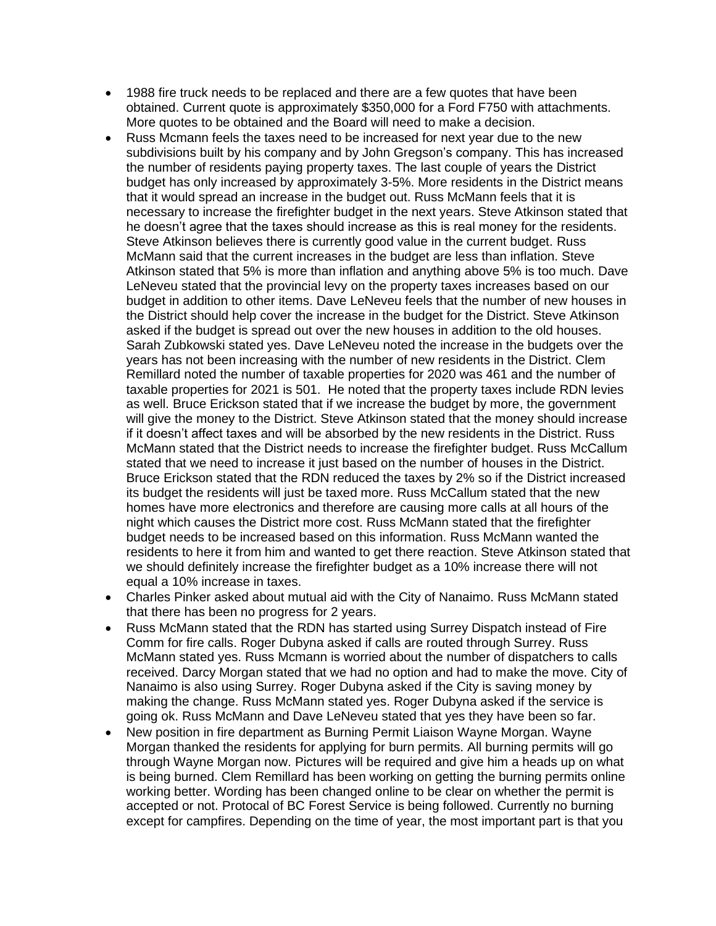- 1988 fire truck needs to be replaced and there are a few quotes that have been obtained. Current quote is approximately \$350,000 for a Ford F750 with attachments. More quotes to be obtained and the Board will need to make a decision.
- Russ Mcmann feels the taxes need to be increased for next year due to the new subdivisions built by his company and by John Gregson's company. This has increased the number of residents paying property taxes. The last couple of years the District budget has only increased by approximately 3-5%. More residents in the District means that it would spread an increase in the budget out. Russ McMann feels that it is necessary to increase the firefighter budget in the next years. Steve Atkinson stated that he doesn't agree that the taxes should increase as this is real money for the residents. Steve Atkinson believes there is currently good value in the current budget. Russ McMann said that the current increases in the budget are less than inflation. Steve Atkinson stated that 5% is more than inflation and anything above 5% is too much. Dave LeNeveu stated that the provincial levy on the property taxes increases based on our budget in addition to other items. Dave LeNeveu feels that the number of new houses in the District should help cover the increase in the budget for the District. Steve Atkinson asked if the budget is spread out over the new houses in addition to the old houses. Sarah Zubkowski stated yes. Dave LeNeveu noted the increase in the budgets over the years has not been increasing with the number of new residents in the District. Clem Remillard noted the number of taxable properties for 2020 was 461 and the number of taxable properties for 2021 is 501. He noted that the property taxes include RDN levies as well. Bruce Erickson stated that if we increase the budget by more, the government will give the money to the District. Steve Atkinson stated that the money should increase if it doesn't affect taxes and will be absorbed by the new residents in the District. Russ McMann stated that the District needs to increase the firefighter budget. Russ McCallum stated that we need to increase it just based on the number of houses in the District. Bruce Erickson stated that the RDN reduced the taxes by 2% so if the District increased its budget the residents will just be taxed more. Russ McCallum stated that the new homes have more electronics and therefore are causing more calls at all hours of the night which causes the District more cost. Russ McMann stated that the firefighter budget needs to be increased based on this information. Russ McMann wanted the residents to here it from him and wanted to get there reaction. Steve Atkinson stated that we should definitely increase the firefighter budget as a 10% increase there will not equal a 10% increase in taxes.
- Charles Pinker asked about mutual aid with the City of Nanaimo. Russ McMann stated that there has been no progress for 2 years.
- Russ McMann stated that the RDN has started using Surrey Dispatch instead of Fire Comm for fire calls. Roger Dubyna asked if calls are routed through Surrey. Russ McMann stated yes. Russ Mcmann is worried about the number of dispatchers to calls received. Darcy Morgan stated that we had no option and had to make the move. City of Nanaimo is also using Surrey. Roger Dubyna asked if the City is saving money by making the change. Russ McMann stated yes. Roger Dubyna asked if the service is going ok. Russ McMann and Dave LeNeveu stated that yes they have been so far.
- New position in fire department as Burning Permit Liaison Wayne Morgan. Wayne Morgan thanked the residents for applying for burn permits. All burning permits will go through Wayne Morgan now. Pictures will be required and give him a heads up on what is being burned. Clem Remillard has been working on getting the burning permits online working better. Wording has been changed online to be clear on whether the permit is accepted or not. Protocal of BC Forest Service is being followed. Currently no burning except for campfires. Depending on the time of year, the most important part is that you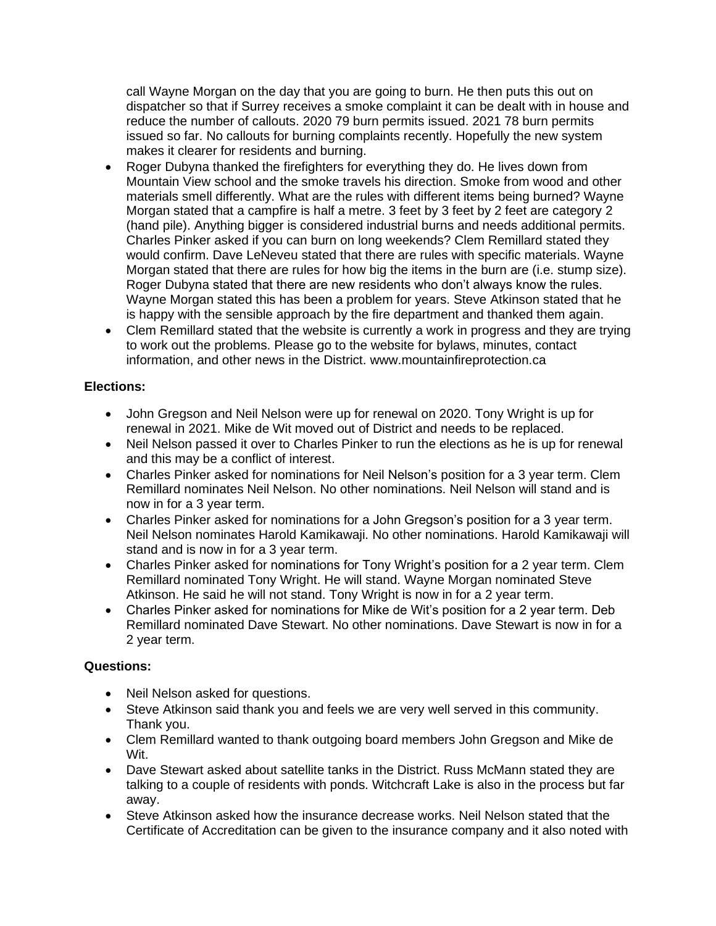call Wayne Morgan on the day that you are going to burn. He then puts this out on dispatcher so that if Surrey receives a smoke complaint it can be dealt with in house and reduce the number of callouts. 2020 79 burn permits issued. 2021 78 burn permits issued so far. No callouts for burning complaints recently. Hopefully the new system makes it clearer for residents and burning.

- Roger Dubyna thanked the firefighters for everything they do. He lives down from Mountain View school and the smoke travels his direction. Smoke from wood and other materials smell differently. What are the rules with different items being burned? Wayne Morgan stated that a campfire is half a metre. 3 feet by 3 feet by 2 feet are category 2 (hand pile). Anything bigger is considered industrial burns and needs additional permits. Charles Pinker asked if you can burn on long weekends? Clem Remillard stated they would confirm. Dave LeNeveu stated that there are rules with specific materials. Wayne Morgan stated that there are rules for how big the items in the burn are (i.e. stump size). Roger Dubyna stated that there are new residents who don't always know the rules. Wayne Morgan stated this has been a problem for years. Steve Atkinson stated that he is happy with the sensible approach by the fire department and thanked them again.
- Clem Remillard stated that the website is currently a work in progress and they are trying to work out the problems. Please go to the website for bylaws, minutes, contact information, and other news in the District. www.mountainfireprotection.ca

# **Elections:**

- John Gregson and Neil Nelson were up for renewal on 2020. Tony Wright is up for renewal in 2021. Mike de Wit moved out of District and needs to be replaced.
- Neil Nelson passed it over to Charles Pinker to run the elections as he is up for renewal and this may be a conflict of interest.
- Charles Pinker asked for nominations for Neil Nelson's position for a 3 year term. Clem Remillard nominates Neil Nelson. No other nominations. Neil Nelson will stand and is now in for a 3 year term.
- Charles Pinker asked for nominations for a John Gregson's position for a 3 year term. Neil Nelson nominates Harold Kamikawaji. No other nominations. Harold Kamikawaji will stand and is now in for a 3 year term.
- Charles Pinker asked for nominations for Tony Wright's position for a 2 year term. Clem Remillard nominated Tony Wright. He will stand. Wayne Morgan nominated Steve Atkinson. He said he will not stand. Tony Wright is now in for a 2 year term.
- Charles Pinker asked for nominations for Mike de Wit's position for a 2 year term. Deb Remillard nominated Dave Stewart. No other nominations. Dave Stewart is now in for a 2 year term.

### **Questions:**

- Neil Nelson asked for questions.
- Steve Atkinson said thank you and feels we are very well served in this community. Thank you.
- Clem Remillard wanted to thank outgoing board members John Gregson and Mike de Wit.
- Dave Stewart asked about satellite tanks in the District. Russ McMann stated they are talking to a couple of residents with ponds. Witchcraft Lake is also in the process but far away.
- Steve Atkinson asked how the insurance decrease works. Neil Nelson stated that the Certificate of Accreditation can be given to the insurance company and it also noted with